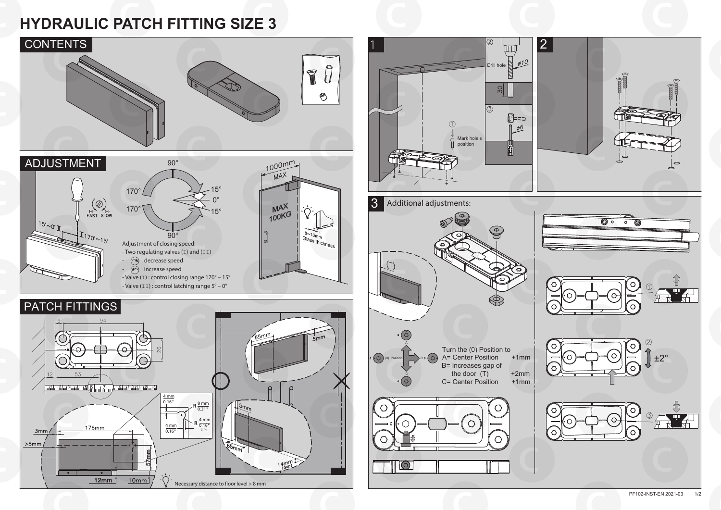

## **HYDRAULIC PATCH FITTING SIZE 3**